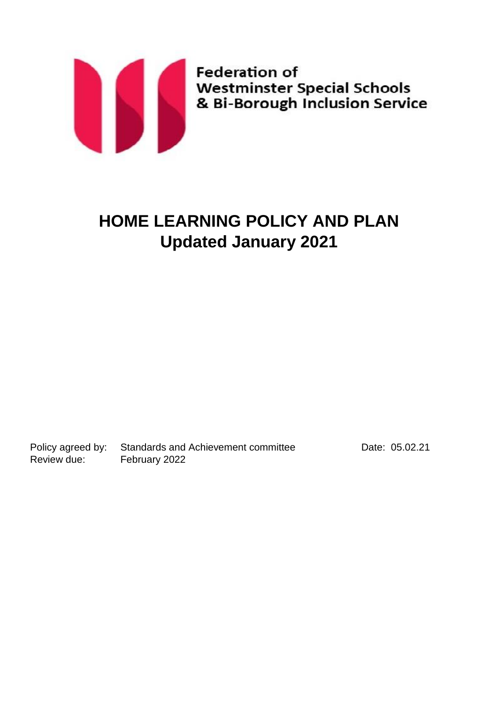

# **HOME LEARNING POLICY AND PLAN Updated January 2021**

Policy agreed by: Standards and Achievement committee Date: 05.02.21 Review due: February 2022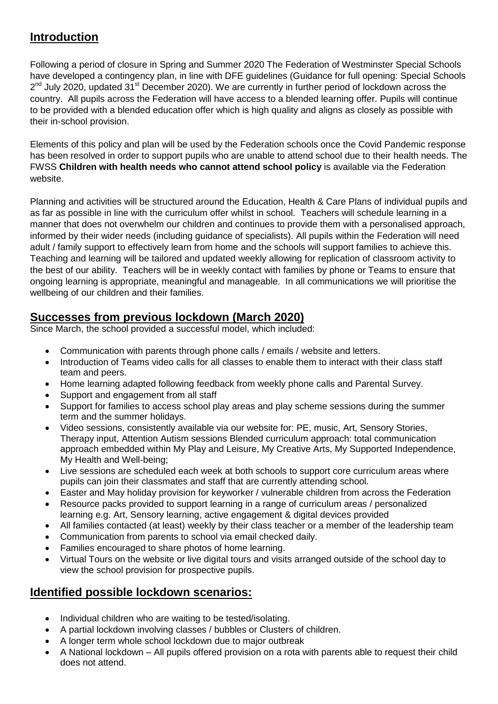## **Introduction**

Following a period of closure in Spring and Summer 2020 The Federation of Westminster Special Schools have developed a contingency plan, in line with DFE guidelines (Guidance for full opening: Special Schools 2<sup>nd</sup> July 2020, updated 31<sup>st</sup> December 2020). We are currently in further period of lockdown across the country. All pupils across the Federation will have access to a blended learning offer. Pupils will continue to be provided with a blended education offer which is high quality and aligns as closely as possible with their in-school provision.

Elements of this policy and plan will be used by the Federation schools once the Covid Pandemic response has been resolved in order to support pupils who are unable to attend school due to their health needs. The FWSS **Children with health needs who cannot attend school policy** is available via the Federation website.

Planning and activities will be structured around the Education, Health & Care Plans of individual pupils and as far as possible in line with the curriculum offer whilst in school. Teachers will schedule learning in a manner that does not overwhelm our children and continues to provide them with a personalised approach, informed by their wider needs (including guidance of specialists). All pupils within the Federation will need adult / family support to effectively learn from home and the schools will support families to achieve this. Teaching and learning will be tailored and updated weekly allowing for replication of classroom activity to the best of our ability. Teachers will be in weekly contact with families by phone or Teams to ensure that ongoing learning is appropriate, meaningful and manageable. In all communications we will prioritise the wellbeing of our children and their families.

## **Successes from previous lockdown (March 2020)**

Since March, the school provided a successful model, which included:

- Communication with parents through phone calls / emails / website and letters.
- Introduction of Teams video calls for all classes to enable them to interact with their class staff team and peers.
- Home learning adapted following feedback from weekly phone calls and Parental Survey.
- Support and engagement from all staff
- Support for families to access school play areas and play scheme sessions during the summer term and the summer holidays.
- Video sessions, consistently available via our website for: PE, music, Art, Sensory Stories, Therapy input, Attention Autism sessions Blended curriculum approach: total communication approach embedded within My Play and Leisure, My Creative Arts, My Supported Independence, My Health and Well-being;
- Live sessions are scheduled each week at both schools to support core curriculum areas where pupils can join their classmates and staff that are currently attending school.
- Easter and May holiday provision for keyworker / vulnerable children from across the Federation
- Resource packs provided to support learning in a range of curriculum areas / personalized learning e.g. Art, Sensory learning, active engagement & digital devices provided
- All families contacted (at least) weekly by their class teacher or a member of the leadership team
- Communication from parents to school via email checked daily.
- Families encouraged to share photos of home learning.
- Virtual Tours on the website or live digital tours and visits arranged outside of the school day to view the school provision for prospective pupils.

## **Identified possible lockdown scenarios:**

- Individual children who are waiting to be tested/isolating.
- A partial lockdown involving classes / bubbles or Clusters of children.
- A longer term whole school lockdown due to major outbreak
- A National lockdown All pupils offered provision on a rota with parents able to request their child does not attend.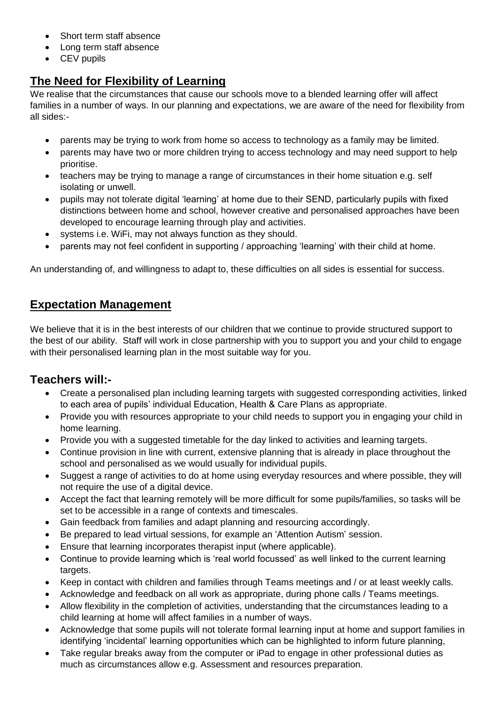- Short term staff absence
- Long term staff absence
- CEV pupils

## **The Need for Flexibility of Learning**

We realise that the circumstances that cause our schools move to a blended learning offer will affect families in a number of ways. In our planning and expectations, we are aware of the need for flexibility from all sides:-

- parents may be trying to work from home so access to technology as a family may be limited.
- parents may have two or more children trying to access technology and may need support to help prioritise.
- teachers may be trying to manage a range of circumstances in their home situation e.g. self isolating or unwell.
- pupils may not tolerate digital 'learning' at home due to their SEND, particularly pupils with fixed distinctions between home and school, however creative and personalised approaches have been developed to encourage learning through play and activities.
- systems i.e. WiFi, may not always function as they should.
- parents may not feel confident in supporting / approaching 'learning' with their child at home.

An understanding of, and willingness to adapt to, these difficulties on all sides is essential for success.

## **Expectation Management**

We believe that it is in the best interests of our children that we continue to provide structured support to the best of our ability. Staff will work in close partnership with you to support you and your child to engage with their personalised learning plan in the most suitable way for you.

## **Teachers will:-**

- Create a personalised plan including learning targets with suggested corresponding activities, linked to each area of pupils' individual Education, Health & Care Plans as appropriate.
- Provide you with resources appropriate to your child needs to support you in engaging your child in home learning.
- Provide you with a suggested timetable for the day linked to activities and learning targets.
- Continue provision in line with current, extensive planning that is already in place throughout the school and personalised as we would usually for individual pupils.
- Suggest a range of activities to do at home using everyday resources and where possible, they will not require the use of a digital device.
- Accept the fact that learning remotely will be more difficult for some pupils/families, so tasks will be set to be accessible in a range of contexts and timescales.
- Gain feedback from families and adapt planning and resourcing accordingly.
- Be prepared to lead virtual sessions, for example an 'Attention Autism' session.
- Ensure that learning incorporates therapist input (where applicable).
- Continue to provide learning which is 'real world focussed' as well linked to the current learning targets.
- Keep in contact with children and families through Teams meetings and / or at least weekly calls.
- Acknowledge and feedback on all work as appropriate, during phone calls / Teams meetings.
- Allow flexibility in the completion of activities, understanding that the circumstances leading to a child learning at home will affect families in a number of ways.
- Acknowledge that some pupils will not tolerate formal learning input at home and support families in identifying 'incidental' learning opportunities which can be highlighted to inform future planning,
- Take regular breaks away from the computer or iPad to engage in other professional duties as much as circumstances allow e.g. Assessment and resources preparation.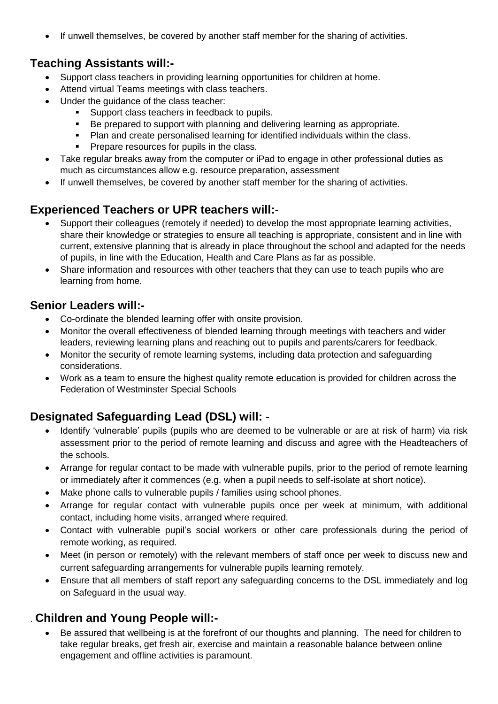• If unwell themselves, be covered by another staff member for the sharing of activities.

## **Teaching Assistants will:-**

- Support class teachers in providing learning opportunities for children at home.
- Attend virtual Teams meetings with class teachers.
- Under the guidance of the class teacher:
	- **Support class teachers in feedback to pupils.**
	- Be prepared to support with planning and delivering learning as appropriate.
	- Plan and create personalised learning for identified individuals within the class.
	- **Prepare resources for pupils in the class.**
- Take regular breaks away from the computer or iPad to engage in other professional duties as much as circumstances allow e.g. resource preparation, assessment
- If unwell themselves, be covered by another staff member for the sharing of activities.

## **Experienced Teachers or UPR teachers will:-**

- Support their colleagues (remotely if needed) to develop the most appropriate learning activities, share their knowledge or strategies to ensure all teaching is appropriate, consistent and in line with current, extensive planning that is already in place throughout the school and adapted for the needs of pupils, in line with the Education, Health and Care Plans as far as possible.
- Share information and resources with other teachers that they can use to teach pupils who are learning from home.

## **Senior Leaders will:-**

- Co-ordinate the blended learning offer with onsite provision.
- Monitor the overall effectiveness of blended learning through meetings with teachers and wider leaders, reviewing learning plans and reaching out to pupils and parents/carers for feedback.
- Monitor the security of remote learning systems, including data protection and safeguarding considerations.
- Work as a team to ensure the highest quality remote education is provided for children across the Federation of Westminster Special Schools

## **Designated Safeguarding Lead (DSL) will: -**

- Identify 'vulnerable' pupils (pupils who are deemed to be vulnerable or are at risk of harm) via risk assessment prior to the period of remote learning and discuss and agree with the Headteachers of the schools.
- Arrange for regular contact to be made with vulnerable pupils, prior to the period of remote learning or immediately after it commences (e.g. when a pupil needs to self-isolate at short notice).
- Make phone calls to vulnerable pupils / families using school phones.
- Arrange for regular contact with vulnerable pupils once per week at minimum, with additional contact, including home visits, arranged where required.
- Contact with vulnerable pupil's social workers or other care professionals during the period of remote working, as required.
- Meet (in person or remotely) with the relevant members of staff once per week to discuss new and current safeguarding arrangements for vulnerable pupils learning remotely.
- Ensure that all members of staff report any safeguarding concerns to the DSL immediately and log on Safeguard in the usual way.

## . **Children and Young People will:-**

 Be assured that wellbeing is at the forefront of our thoughts and planning. The need for children to take regular breaks, get fresh air, exercise and maintain a reasonable balance between online engagement and offline activities is paramount.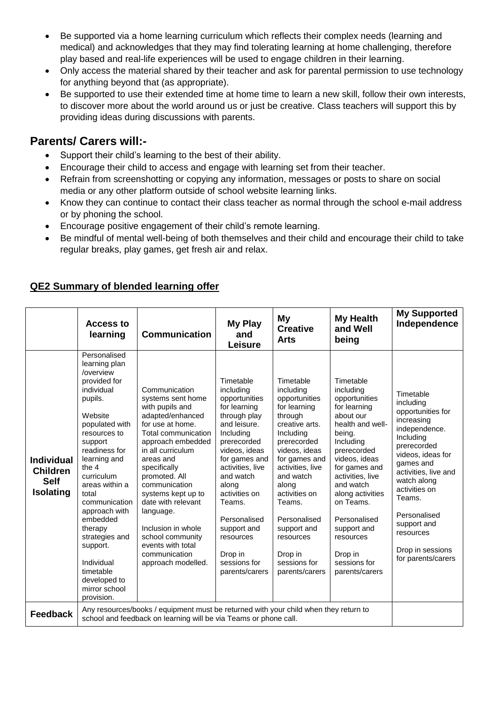- Be supported via a home learning curriculum which reflects their complex needs (learning and medical) and acknowledges that they may find tolerating learning at home challenging, therefore play based and real-life experiences will be used to engage children in their learning.
- Only access the material shared by their teacher and ask for parental permission to use technology for anything beyond that (as appropriate).
- Be supported to use their extended time at home time to learn a new skill, follow their own interests, to discover more about the world around us or just be creative. Class teachers will support this by providing ideas during discussions with parents.

## **Parents/ Carers will:-**

- Support their child's learning to the best of their ability.
- Encourage their child to access and engage with learning set from their teacher.
- Refrain from screenshotting or copying any information, messages or posts to share on social media or any other platform outside of school website learning links.
- Know they can continue to contact their class teacher as normal through the school e-mail address or by phoning the school.
- Encourage positive engagement of their child's remote learning.
- Be mindful of mental well-being of both themselves and their child and encourage their child to take regular breaks, play games, get fresh air and relax.

|                                                                         | <b>Access to</b><br>learning                                                                                                                                                                                                                                                                                                                                                                    | <b>Communication</b>                                                                                                                                                                                                                                                                                                                                                                         | <b>My Play</b><br>and<br>Leisure                                                                                                                                                                                                                                                                                    | Мy<br><b>Creative</b><br><b>Arts</b>                                                                                                                                                                                                                                                                             | <b>My Health</b><br>and Well<br>being                                                                                                                                                                                                                                                                                       | <b>My Supported</b><br>Independence                                                                                                                                                                                                                                                              |
|-------------------------------------------------------------------------|-------------------------------------------------------------------------------------------------------------------------------------------------------------------------------------------------------------------------------------------------------------------------------------------------------------------------------------------------------------------------------------------------|----------------------------------------------------------------------------------------------------------------------------------------------------------------------------------------------------------------------------------------------------------------------------------------------------------------------------------------------------------------------------------------------|---------------------------------------------------------------------------------------------------------------------------------------------------------------------------------------------------------------------------------------------------------------------------------------------------------------------|------------------------------------------------------------------------------------------------------------------------------------------------------------------------------------------------------------------------------------------------------------------------------------------------------------------|-----------------------------------------------------------------------------------------------------------------------------------------------------------------------------------------------------------------------------------------------------------------------------------------------------------------------------|--------------------------------------------------------------------------------------------------------------------------------------------------------------------------------------------------------------------------------------------------------------------------------------------------|
| <b>Individual</b><br><b>Children</b><br><b>Self</b><br><b>Isolating</b> | Personalised<br>learning plan<br>/overview<br>provided for<br>individual<br>pupils.<br>Website<br>populated with<br>resources to<br>support<br>readiness for<br>learning and<br>the 4<br>curriculum<br>areas within a<br>total<br>communication<br>approach with<br>embedded<br>therapy<br>strategies and<br>support.<br>Individual<br>timetable<br>developed to<br>mirror school<br>provision. | Communication<br>systems sent home<br>with pupils and<br>adapted/enhanced<br>for use at home.<br>Total communication<br>approach embedded<br>in all curriculum<br>areas and<br>specifically<br>promoted. All<br>communication<br>systems kept up to<br>date with relevant<br>language.<br>Inclusion in whole<br>school community<br>events with total<br>communication<br>approach modelled. | Timetable<br>including<br>opportunities<br>for learning<br>through play<br>and leisure.<br>Including<br>prerecorded<br>videos, ideas<br>for games and<br>activities, live<br>and watch<br>along<br>activities on<br>Teams.<br>Personalised<br>support and<br>resources<br>Drop in<br>sessions for<br>parents/carers | Timetable<br>including<br>opportunities<br>for learning<br>through<br>creative arts.<br>Including<br>prerecorded<br>videos, ideas<br>for games and<br>activities, live<br>and watch<br>along<br>activities on<br>Teams.<br>Personalised<br>support and<br>resources<br>Drop in<br>sessions for<br>parents/carers | Timetable<br>including<br>opportunities<br>for learning<br>about our<br>health and well-<br>being.<br>Including<br>prerecorded<br>videos, ideas<br>for games and<br>activities, live<br>and watch<br>along activities<br>on Teams.<br>Personalised<br>support and<br>resources<br>Drop in<br>sessions for<br>parents/carers | Timetable<br>including<br>opportunities for<br>increasing<br>independence.<br>Including<br>prerecorded<br>videos, ideas for<br>games and<br>activities, live and<br>watch along<br>activities on<br>Teams.<br>Personalised<br>support and<br>resources<br>Drop in sessions<br>for parents/carers |
| <b>Feedback</b>                                                         | Any resources/books / equipment must be returned with your child when they return to<br>school and feedback on learning will be via Teams or phone call.                                                                                                                                                                                                                                        |                                                                                                                                                                                                                                                                                                                                                                                              |                                                                                                                                                                                                                                                                                                                     |                                                                                                                                                                                                                                                                                                                  |                                                                                                                                                                                                                                                                                                                             |                                                                                                                                                                                                                                                                                                  |

### **QE2 Summary of blended learning offer**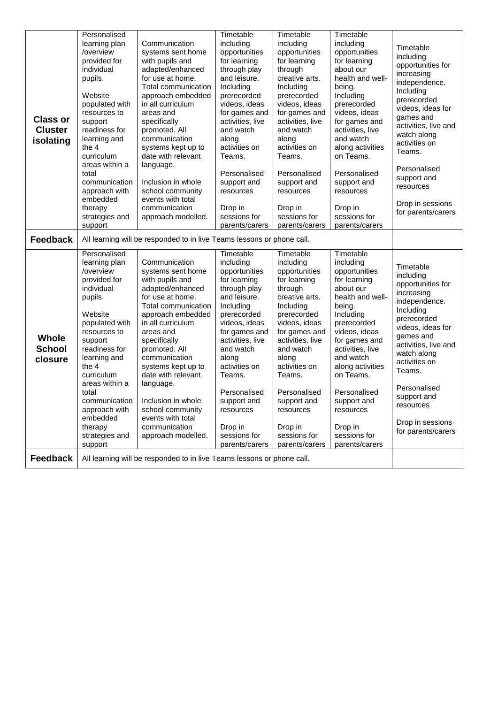|                 | Personalised                                                           |                                                                        | Timetable                      | Timetable                      | Timetable                      |                          |
|-----------------|------------------------------------------------------------------------|------------------------------------------------------------------------|--------------------------------|--------------------------------|--------------------------------|--------------------------|
|                 | learning plan                                                          | Communication                                                          | including                      | including                      | including                      | Timetable                |
|                 | /overview                                                              | systems sent home                                                      | opportunities                  | opportunities                  | opportunities                  | including                |
|                 | provided for                                                           | with pupils and                                                        | for learning                   | for learning                   | for learning                   | opportunities for        |
|                 | individual                                                             | adapted/enhanced                                                       | through play                   | through                        | about our                      | increasing               |
|                 | pupils.                                                                | for use at home.                                                       | and leisure.                   | creative arts.                 | health and well-               | independence.            |
|                 |                                                                        | Total communication                                                    | Including                      | Including                      | being.                         | Including                |
|                 | Website                                                                | approach embedded                                                      | prerecorded                    | prerecorded                    | Including                      | prerecorded              |
|                 | populated with                                                         | in all curriculum                                                      | videos, ideas                  | videos, ideas                  | prerecorded                    | videos, ideas for        |
|                 | resources to                                                           | areas and                                                              | for games and                  | for games and                  | videos, ideas                  | games and                |
| <b>Class or</b> | support                                                                | specifically                                                           | activities, live               | activities, live               | for games and                  | activities, live and     |
| <b>Cluster</b>  | readiness for                                                          | promoted. All                                                          | and watch                      | and watch                      | activities, live               | watch along              |
| isolating       | learning and                                                           | communication                                                          | along                          | along                          | and watch                      | activities on            |
|                 | the 4                                                                  | systems kept up to                                                     | activities on                  | activities on                  | along activities               | Teams.                   |
|                 | curriculum                                                             | date with relevant                                                     | Teams.                         | Teams.                         | on Teams.                      |                          |
|                 | areas within a                                                         | language.                                                              |                                |                                |                                | Personalised             |
|                 | total                                                                  |                                                                        | Personalised                   | Personalised                   | Personalised                   | support and              |
|                 | communication                                                          | Inclusion in whole                                                     | support and                    | support and                    | support and                    | resources                |
|                 | approach with                                                          | school community                                                       | resources                      | resources                      | resources                      |                          |
|                 | embedded                                                               | events with total                                                      |                                |                                |                                | Drop in sessions         |
|                 | therapy                                                                | communication                                                          | Drop in                        | Drop in                        | Drop in                        | for parents/carers       |
|                 | strategies and<br>support                                              | approach modelled.                                                     | sessions for<br>parents/carers | sessions for<br>parents/carers | sessions for<br>parents/carers |                          |
|                 |                                                                        |                                                                        |                                |                                |                                |                          |
| <b>Feedback</b> | All learning will be responded to in live Teams lessons or phone call. |                                                                        |                                |                                |                                |                          |
|                 |                                                                        |                                                                        |                                |                                |                                |                          |
|                 | Personalised                                                           |                                                                        | Timetable                      | Timetable                      | Timetable                      |                          |
|                 | learning plan                                                          | Communication                                                          | including                      | including                      | including                      |                          |
|                 | /overview                                                              | systems sent home                                                      | opportunities                  | opportunities                  | opportunities                  | Timetable                |
|                 | provided for                                                           | with pupils and                                                        | for learning                   | for learning                   | for learning                   | including                |
|                 | individual                                                             | adapted/enhanced                                                       | through play                   | through                        | about our                      | opportunities for        |
|                 | pupils.                                                                | for use at home.                                                       | and leisure.                   | creative arts.                 | health and well-               | increasing               |
|                 |                                                                        | Total communication                                                    | Including                      | Including                      | being.                         | independence.            |
|                 | Website                                                                | approach embedded                                                      | prerecorded                    | prerecorded                    | Including                      | Including<br>prerecorded |
|                 | populated with                                                         | in all curriculum                                                      | videos, ideas                  | videos, ideas                  | prerecorded                    | videos, ideas for        |
|                 | resources to                                                           | areas and                                                              | for games and                  | for games and                  | videos, ideas                  | games and                |
| <b>Whole</b>    | support                                                                | specifically                                                           | activities, live               | activities, live               | for games and                  | activities, live and     |
| <b>School</b>   | readiness for                                                          | promoted. All                                                          | and watch                      | and watch                      | activities, live               | watch along              |
| closure         | learning and                                                           | communication                                                          | along                          | along                          | and watch                      | activities on            |
|                 | the 4                                                                  | systems kept up to                                                     | activities on                  | activities on                  | along activities               | Teams.                   |
|                 | curriculum                                                             | date with relevant                                                     | Teams.                         | Teams.                         | on Teams.                      |                          |
|                 | areas within a                                                         | language.                                                              |                                |                                |                                | Personalised             |
|                 | total                                                                  |                                                                        | Personalised                   | Personalised                   | Personalised                   | support and              |
|                 | communication                                                          | Inclusion in whole                                                     | support and                    | support and                    | support and                    | resources                |
|                 | approach with                                                          | school community                                                       | resources                      | resources                      | resources                      |                          |
|                 | embedded                                                               | events with total<br>communication                                     |                                |                                |                                | Drop in sessions         |
|                 | therapy                                                                |                                                                        | Drop in                        | Drop in<br>sessions for        | Drop in                        | for parents/carers       |
|                 | strategies and<br>support                                              | approach modelled.                                                     | sessions for<br>parents/carers | parents/carers                 | sessions for<br>parents/carers |                          |
| <b>Feedback</b> |                                                                        | All learning will be responded to in live Teams lessons or phone call. |                                |                                |                                |                          |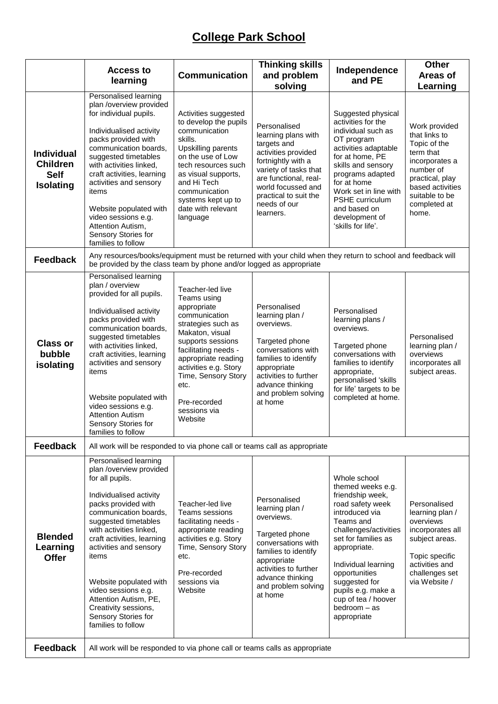## **College Park School**

|                                                                  | <b>Access to</b><br>learning                                                                                                                                                                                                                                                                                                                                                                                      | <b>Communication</b>                                                                                                                                                                                                                                                            | <b>Thinking skills</b><br>and problem<br>solving                                                                                                                                                                              | Independence<br>and PE                                                                                                                                                                                                                                                                                        | <b>Other</b><br><b>Areas of</b><br>Learning                                                                                                                                  |  |  |  |
|------------------------------------------------------------------|-------------------------------------------------------------------------------------------------------------------------------------------------------------------------------------------------------------------------------------------------------------------------------------------------------------------------------------------------------------------------------------------------------------------|---------------------------------------------------------------------------------------------------------------------------------------------------------------------------------------------------------------------------------------------------------------------------------|-------------------------------------------------------------------------------------------------------------------------------------------------------------------------------------------------------------------------------|---------------------------------------------------------------------------------------------------------------------------------------------------------------------------------------------------------------------------------------------------------------------------------------------------------------|------------------------------------------------------------------------------------------------------------------------------------------------------------------------------|--|--|--|
| <b>Individual</b><br><b>Children</b><br><b>Self</b><br>Isolating | Personalised learning<br>plan /overview provided<br>for individual pupils.<br>Individualised activity<br>packs provided with<br>communication boards,<br>suggested timetables<br>with activities linked,<br>craft activities, learning<br>activities and sensory<br>items<br>Website populated with<br>video sessions e.g.<br>Attention Autism,<br>Sensory Stories for<br>families to follow                      | Activities suggested<br>to develop the pupils<br>communication<br>skills.<br>Upskilling parents<br>on the use of Low<br>tech resources such<br>as visual supports,<br>and Hi Tech<br>communication<br>systems kept up to<br>date with relevant<br>language                      | Personalised<br>learning plans with<br>targets and<br>activities provided<br>fortnightly with a<br>variety of tasks that<br>are functional, real-<br>world focussed and<br>practical to suit the<br>needs of our<br>learners. | Suggested physical<br>activities for the<br>individual such as<br>OT program<br>activities adaptable<br>for at home, PE<br>skills and sensory<br>programs adapted<br>for at home<br>Work set in line with<br>PSHE curriculum<br>and based on<br>development of<br>'skills for life'.                          | Work provided<br>that links to<br>Topic of the<br>term that<br>incorporates a<br>number of<br>practical, play<br>based activities<br>suitable to be<br>completed at<br>home. |  |  |  |
| <b>Feedback</b>                                                  | Any resources/books/equipment must be returned with your child when they return to school and feedback will<br>be provided by the class team by phone and/or logged as appropriate                                                                                                                                                                                                                                |                                                                                                                                                                                                                                                                                 |                                                                                                                                                                                                                               |                                                                                                                                                                                                                                                                                                               |                                                                                                                                                                              |  |  |  |
| <b>Class or</b><br>bubble<br>isolating                           | Personalised learning<br>plan / overview<br>provided for all pupils.<br>Individualised activity<br>packs provided with<br>communication boards,<br>suggested timetables<br>with activities linked,<br>craft activities, learning<br>activities and sensory<br>items<br>Website populated with<br>video sessions e.g.<br><b>Attention Autism</b><br>Sensory Stories for<br>families to follow                      | Teacher-led live<br>Teams using<br>appropriate<br>communication<br>strategies such as<br>Makaton, visual<br>supports sessions<br>facilitating needs -<br>appropriate reading<br>activities e.g. Story<br>Time, Sensory Story<br>etc.<br>Pre-recorded<br>sessions via<br>Website | Personalised<br>learning plan /<br>overviews.<br>Targeted phone<br>conversations with<br>families to identify<br>appropriate<br>activities to further<br>advance thinking<br>and problem solving<br>at home                   | Personalised<br>learning plans /<br>overviews.<br>Targeted phone<br>conversations with<br>families to identify<br>appropriate,<br>personalised 'skills<br>for life' targets to be<br>completed at home.                                                                                                       | Personalised<br>learning plan /<br>overviews<br>incorporates all<br>subject areas.                                                                                           |  |  |  |
| <b>Feedback</b>                                                  | All work will be responded to via phone call or teams call as appropriate                                                                                                                                                                                                                                                                                                                                         |                                                                                                                                                                                                                                                                                 |                                                                                                                                                                                                                               |                                                                                                                                                                                                                                                                                                               |                                                                                                                                                                              |  |  |  |
| <b>Blended</b><br>Learning<br><b>Offer</b>                       | Personalised learning<br>plan /overview provided<br>for all pupils.<br>Individualised activity<br>packs provided with<br>communication boards,<br>suggested timetables<br>with activities linked,<br>craft activities, learning<br>activities and sensory<br>items<br>Website populated with<br>video sessions e.g.<br>Attention Autism, PE,<br>Creativity sessions,<br>Sensory Stories for<br>families to follow | Teacher-led live<br>Teams sessions<br>facilitating needs -<br>appropriate reading<br>activities e.g. Story<br>Time, Sensory Story<br>etc.<br>Pre-recorded<br>sessions via<br>Website                                                                                            | Personalised<br>learning plan /<br>overviews.<br>Targeted phone<br>conversations with<br>families to identify<br>appropriate<br>activities to further<br>advance thinking<br>and problem solving<br>at home                   | Whole school<br>themed weeks e.g.<br>friendship week,<br>road safety week<br>introduced via<br>Teams and<br>challenges/activities<br>set for families as<br>appropriate.<br>Individual learning<br>opportunities<br>suggested for<br>pupils e.g. make a<br>cup of tea / hoover<br>bedroom - as<br>appropriate | Personalised<br>learning plan /<br>overviews<br>incorporates all<br>subject areas.<br>Topic specific<br>activities and<br>challenges set<br>via Website /                    |  |  |  |
| <b>Feedback</b>                                                  | All work will be responded to via phone call or teams calls as appropriate                                                                                                                                                                                                                                                                                                                                        |                                                                                                                                                                                                                                                                                 |                                                                                                                                                                                                                               |                                                                                                                                                                                                                                                                                                               |                                                                                                                                                                              |  |  |  |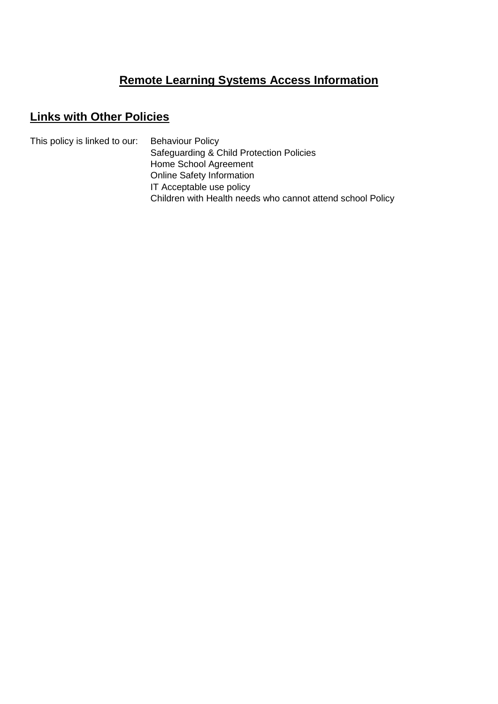## **Remote Learning Systems Access Information**

## **Links with Other Policies**

This policy is linked to our: Behaviour Policy Safeguarding & Child Protection Policies Home School Agreement Online Safety Information IT Acceptable use policy Children with Health needs who cannot attend school Policy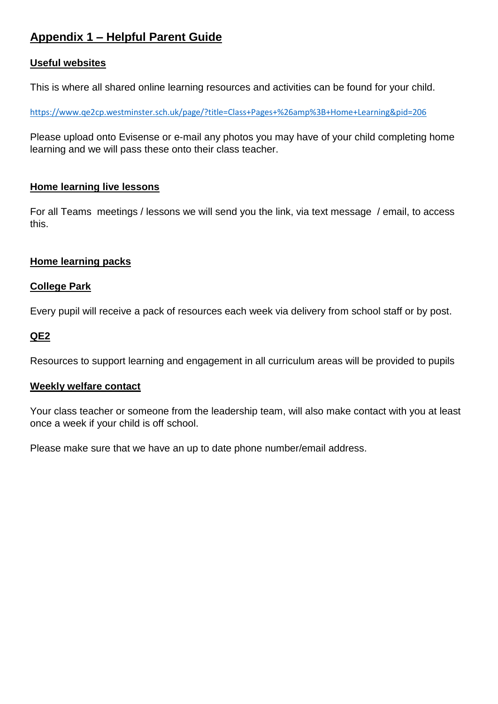## **Appendix 1 – Helpful Parent Guide**

### **Useful websites**

This is where all shared online learning resources and activities can be found for your child.

<https://www.qe2cp.westminster.sch.uk/page/?title=Class+Pages+%26amp%3B+Home+Learning&pid=206>

Please upload onto Evisense or e-mail any photos you may have of your child completing home learning and we will pass these onto their class teacher.

### **Home learning live lessons**

For all Teams meetings / lessons we will send you the link, via text message / email, to access this.

### **Home learning packs**

### **College Park**

Every pupil will receive a pack of resources each week via delivery from school staff or by post.

### **QE2**

Resources to support learning and engagement in all curriculum areas will be provided to pupils

### **Weekly welfare contact**

Your class teacher or someone from the leadership team, will also make contact with you at least once a week if your child is off school.

Please make sure that we have an up to date phone number/email address.